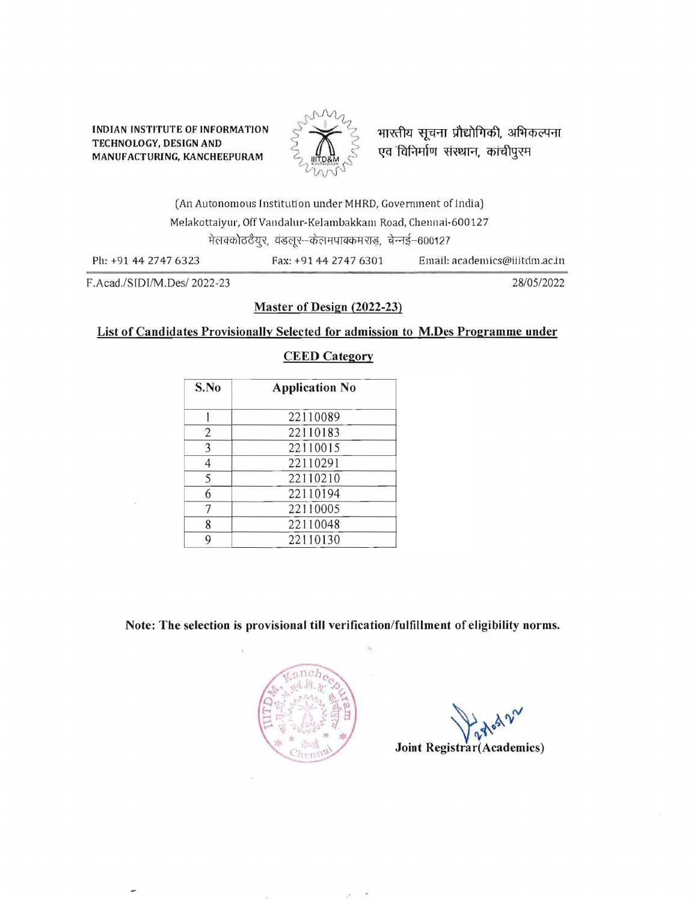INDIAN INSTITUTE OF INFORMATION  $\begin{matrix} 1 & 1 & 1 \\ 1 & 1 & 1 \end{matrix}$  and  $\begin{matrix} 1 & 1 & 1 \\ 1 & 1 & 1 \end{matrix}$  and  $\begin{matrix} 1 & 1 & 1 \\ 1 & 1 & 1 \end{matrix}$  and  $\begin{matrix} 1 & 1 & 1 \\ 1 & 1 & 1 \end{matrix}$  and  $\begin{matrix} 1 & 1 & 1 \\ 1 & 1 & 1 \end{matrix}$  and  $\begin{matrix} 1 & 1 & 1 \\ 1 &$ TECHNOLOGY, DESIGN AND



.<br>एव विनिर्माण संस्थान, कांचीपुरम

(An Autonomous Institution under MHRD, Govemment of India) Melakottaiyur, Off Vandalur-Kelambakkam Road, Chennai-600127 मेलक्कोठठैयूर, वंडलूर-केलमपाक्कमराड, चेन्नई-600127

Ph: +91 4427476323 Fax: +91 44 2747 6301 Email: academics@iiitdm.ac.in

F.Acad'/SlDIIM.Des/ 2022-23 28/05/2022

### Master of Design (2022-23)

#### List of Candidates Provisionally Selected for admission to M.Des Programme under

### CEED Category

| S.No | <b>Application No</b> |  |
|------|-----------------------|--|
|      | 22110089              |  |
| 2    | 22110183              |  |
| 3    | 22110015              |  |
| 4    | 22110291              |  |
| 5    | 22110210              |  |
| 6    | 22110194              |  |
| 7    | 22110005              |  |
| 8    | 22110048              |  |
| 9    | 22110130              |  |

Note: The selection is provisional **till** verification/fulfillment of eligibility norms.



 $\sqrt{2\pi}$ 

Joint Registrar(Academics)